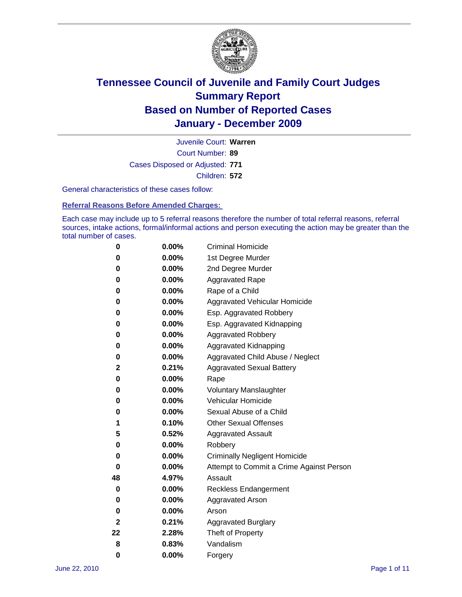

Court Number: **89** Juvenile Court: **Warren** Cases Disposed or Adjusted: **771** Children: **572**

General characteristics of these cases follow:

**Referral Reasons Before Amended Charges:** 

Each case may include up to 5 referral reasons therefore the number of total referral reasons, referral sources, intake actions, formal/informal actions and person executing the action may be greater than the total number of cases.

| 0  | 0.00%    | <b>Criminal Homicide</b>                 |  |  |  |
|----|----------|------------------------------------------|--|--|--|
| 0  | 0.00%    | 1st Degree Murder                        |  |  |  |
| 0  | 0.00%    | 2nd Degree Murder                        |  |  |  |
| 0  | 0.00%    | <b>Aggravated Rape</b>                   |  |  |  |
| 0  | 0.00%    | Rape of a Child                          |  |  |  |
| 0  | 0.00%    | Aggravated Vehicular Homicide            |  |  |  |
| 0  | 0.00%    | Esp. Aggravated Robbery                  |  |  |  |
| 0  | 0.00%    | Esp. Aggravated Kidnapping               |  |  |  |
| 0  | 0.00%    | <b>Aggravated Robbery</b>                |  |  |  |
| 0  | 0.00%    | Aggravated Kidnapping                    |  |  |  |
| 0  | 0.00%    | Aggravated Child Abuse / Neglect         |  |  |  |
| 2  | 0.21%    | <b>Aggravated Sexual Battery</b>         |  |  |  |
| 0  | 0.00%    | Rape                                     |  |  |  |
| 0  | $0.00\%$ | <b>Voluntary Manslaughter</b>            |  |  |  |
| 0  | 0.00%    | Vehicular Homicide                       |  |  |  |
| 0  | 0.00%    | Sexual Abuse of a Child                  |  |  |  |
| 1  | 0.10%    | <b>Other Sexual Offenses</b>             |  |  |  |
| 5  | 0.52%    | <b>Aggravated Assault</b>                |  |  |  |
| 0  | $0.00\%$ | Robbery                                  |  |  |  |
| 0  | 0.00%    | <b>Criminally Negligent Homicide</b>     |  |  |  |
| 0  | 0.00%    | Attempt to Commit a Crime Against Person |  |  |  |
| 48 | 4.97%    | Assault                                  |  |  |  |
| 0  | 0.00%    | <b>Reckless Endangerment</b>             |  |  |  |
| 0  | 0.00%    | <b>Aggravated Arson</b>                  |  |  |  |
| 0  | 0.00%    | Arson                                    |  |  |  |
| 2  | 0.21%    | <b>Aggravated Burglary</b>               |  |  |  |
| 22 | 2.28%    | Theft of Property                        |  |  |  |
| 8  | 0.83%    | Vandalism                                |  |  |  |
| 0  | 0.00%    | Forgery                                  |  |  |  |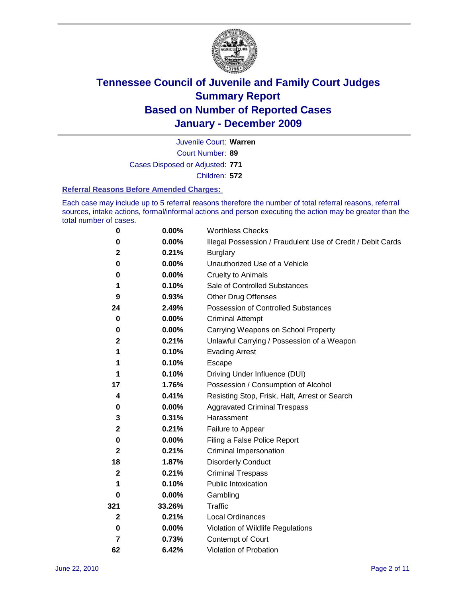

Court Number: **89** Juvenile Court: **Warren** Cases Disposed or Adjusted: **771** Children: **572**

#### **Referral Reasons Before Amended Charges:**

Each case may include up to 5 referral reasons therefore the number of total referral reasons, referral sources, intake actions, formal/informal actions and person executing the action may be greater than the total number of cases.

| $\pmb{0}$    | 0.00%    | <b>Worthless Checks</b>                                     |
|--------------|----------|-------------------------------------------------------------|
| 0            | 0.00%    | Illegal Possession / Fraudulent Use of Credit / Debit Cards |
| 2            | 0.21%    | <b>Burglary</b>                                             |
| $\bf{0}$     | $0.00\%$ | Unauthorized Use of a Vehicle                               |
| 0            | $0.00\%$ | <b>Cruelty to Animals</b>                                   |
| 1            | 0.10%    | Sale of Controlled Substances                               |
| 9            | 0.93%    | <b>Other Drug Offenses</b>                                  |
| 24           | 2.49%    | Possession of Controlled Substances                         |
| 0            | $0.00\%$ | <b>Criminal Attempt</b>                                     |
| 0            | 0.00%    | Carrying Weapons on School Property                         |
| $\mathbf 2$  | 0.21%    | Unlawful Carrying / Possession of a Weapon                  |
| 1            | 0.10%    | <b>Evading Arrest</b>                                       |
| 1            | 0.10%    | Escape                                                      |
| 1            | 0.10%    | Driving Under Influence (DUI)                               |
| 17           | 1.76%    | Possession / Consumption of Alcohol                         |
| 4            | 0.41%    | Resisting Stop, Frisk, Halt, Arrest or Search               |
| 0            | $0.00\%$ | <b>Aggravated Criminal Trespass</b>                         |
| 3            | 0.31%    | Harassment                                                  |
| $\mathbf 2$  | 0.21%    | Failure to Appear                                           |
| 0            | $0.00\%$ | Filing a False Police Report                                |
| $\mathbf{2}$ | 0.21%    | Criminal Impersonation                                      |
| 18           | 1.87%    | <b>Disorderly Conduct</b>                                   |
| $\mathbf{2}$ | 0.21%    | <b>Criminal Trespass</b>                                    |
| 1            | 0.10%    | Public Intoxication                                         |
| 0            | 0.00%    | Gambling                                                    |
| 321          | 33.26%   | <b>Traffic</b>                                              |
| $\mathbf{2}$ | 0.21%    | Local Ordinances                                            |
| $\pmb{0}$    | 0.00%    | Violation of Wildlife Regulations                           |
| 7            | 0.73%    | Contempt of Court                                           |
| 62           | 6.42%    | Violation of Probation                                      |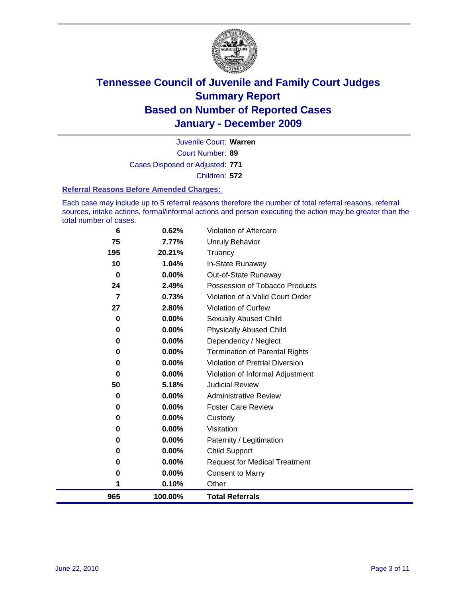

Court Number: **89** Juvenile Court: **Warren** Cases Disposed or Adjusted: **771** Children: **572**

#### **Referral Reasons Before Amended Charges:**

Each case may include up to 5 referral reasons therefore the number of total referral reasons, referral sources, intake actions, formal/informal actions and person executing the action may be greater than the total number of cases.

| 965            | 100.00%  | <b>Total Referrals</b>                 |
|----------------|----------|----------------------------------------|
| 1              | 0.10%    | Other                                  |
| 0              | 0.00%    | <b>Consent to Marry</b>                |
| 0              | $0.00\%$ | <b>Request for Medical Treatment</b>   |
| 0              | $0.00\%$ | <b>Child Support</b>                   |
| 0              | $0.00\%$ | Paternity / Legitimation               |
| 0              | 0.00%    | Visitation                             |
| 0              | $0.00\%$ | Custody                                |
| 0              | $0.00\%$ | <b>Foster Care Review</b>              |
| 0              | $0.00\%$ | <b>Administrative Review</b>           |
| 50             | 5.18%    | <b>Judicial Review</b>                 |
| 0              | 0.00%    | Violation of Informal Adjustment       |
| 0              | $0.00\%$ | <b>Violation of Pretrial Diversion</b> |
| 0              | $0.00\%$ | <b>Termination of Parental Rights</b>  |
| 0              | 0.00%    | Dependency / Neglect                   |
| 0              | $0.00\%$ | <b>Physically Abused Child</b>         |
| 0              | 0.00%    | <b>Sexually Abused Child</b>           |
| 27             | 2.80%    | Violation of Curfew                    |
| $\overline{7}$ | 0.73%    | Violation of a Valid Court Order       |
| 24             | 2.49%    | Possession of Tobacco Products         |
| $\bf{0}$       | $0.00\%$ | Out-of-State Runaway                   |
| 10             | 1.04%    | In-State Runaway                       |
| 195            | 20.21%   | Unruly Behavior<br>Truancy             |
| 75             | 7.77%    |                                        |
| 6              | 0.62%    | <b>Violation of Aftercare</b>          |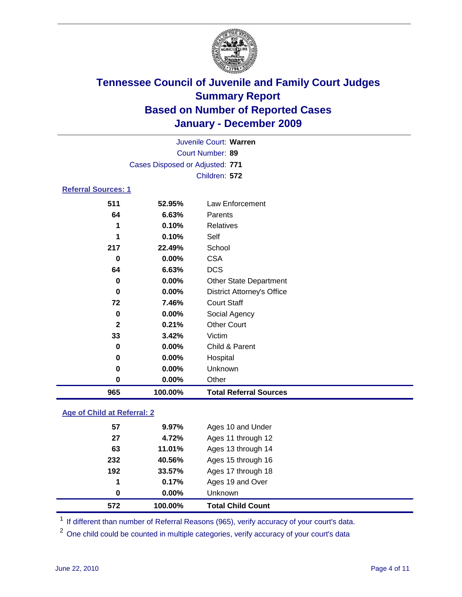

| Juvenile Court: Warren     |                                 |                                   |  |
|----------------------------|---------------------------------|-----------------------------------|--|
| Court Number: 89           |                                 |                                   |  |
|                            | Cases Disposed or Adjusted: 771 |                                   |  |
|                            |                                 | Children: 572                     |  |
| <b>Referral Sources: 1</b> |                                 |                                   |  |
| 511                        | 52.95%                          | <b>Law Enforcement</b>            |  |
| 64                         | 6.63%                           | Parents                           |  |
| 1                          | 0.10%                           | Relatives                         |  |
| 1                          | 0.10%                           | Self                              |  |
| 217                        | 22.49%                          | School                            |  |
| $\bf{0}$                   | 0.00%                           | <b>CSA</b>                        |  |
| 64                         | 6.63%                           | <b>DCS</b>                        |  |
| $\bf{0}$                   | 0.00%                           | <b>Other State Department</b>     |  |
| $\bf{0}$                   | $0.00\%$                        | <b>District Attorney's Office</b> |  |
| 72                         | 7.46%                           | <b>Court Staff</b>                |  |
| 0                          | 0.00%                           | Social Agency                     |  |
| $\mathbf{2}$               | 0.21%                           | <b>Other Court</b>                |  |
| 33                         | 3.42%                           | Victim                            |  |
| $\bf{0}$                   | 0.00%                           | Child & Parent                    |  |
| 0                          | 0.00%                           | Hospital                          |  |
| 0                          | 0.00%                           | Unknown                           |  |
| 0                          | 0.00%                           | Other                             |  |
| 965                        | 100.00%                         | <b>Total Referral Sources</b>     |  |
|                            |                                 |                                   |  |

### **Age of Child at Referral: 2**

| 0   | $0.00\%$ | <b>Unknown</b>     |  |
|-----|----------|--------------------|--|
| 1   | 0.17%    | Ages 19 and Over   |  |
| 192 | 33.57%   | Ages 17 through 18 |  |
| 232 | 40.56%   | Ages 15 through 16 |  |
| 63  | 11.01%   | Ages 13 through 14 |  |
| 27  | 4.72%    | Ages 11 through 12 |  |
| 57  | $9.97\%$ | Ages 10 and Under  |  |
|     |          |                    |  |

<sup>1</sup> If different than number of Referral Reasons (965), verify accuracy of your court's data.

<sup>2</sup> One child could be counted in multiple categories, verify accuracy of your court's data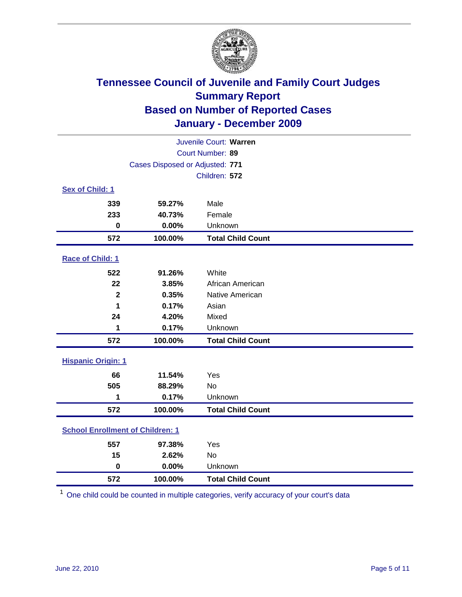

| Juvenile Court: Warren    |                                         |                          |  |  |  |
|---------------------------|-----------------------------------------|--------------------------|--|--|--|
|                           | Court Number: 89                        |                          |  |  |  |
|                           | Cases Disposed or Adjusted: 771         |                          |  |  |  |
|                           |                                         | Children: 572            |  |  |  |
| Sex of Child: 1           |                                         |                          |  |  |  |
| 339                       | 59.27%                                  | Male                     |  |  |  |
| 233                       | 40.73%                                  | Female                   |  |  |  |
| $\bf{0}$                  | 0.00%                                   | Unknown                  |  |  |  |
| 572                       | 100.00%                                 | <b>Total Child Count</b> |  |  |  |
| Race of Child: 1          |                                         |                          |  |  |  |
| 522                       | 91.26%                                  | White                    |  |  |  |
| 22                        | 3.85%                                   | African American         |  |  |  |
| $\overline{\mathbf{2}}$   | 0.35%                                   | Native American          |  |  |  |
| 1                         | 0.17%                                   | Asian                    |  |  |  |
| 24                        | 4.20%                                   | Mixed                    |  |  |  |
| 1                         | 0.17%                                   | Unknown                  |  |  |  |
| 572                       | 100.00%                                 | <b>Total Child Count</b> |  |  |  |
| <b>Hispanic Origin: 1</b> |                                         |                          |  |  |  |
| 66                        | 11.54%                                  | Yes                      |  |  |  |
| 505                       | 88.29%                                  | No                       |  |  |  |
| 1                         | 0.17%                                   | Unknown                  |  |  |  |
| 572                       | 100.00%                                 | <b>Total Child Count</b> |  |  |  |
|                           | <b>School Enrollment of Children: 1</b> |                          |  |  |  |
| 557                       | 97.38%                                  | Yes                      |  |  |  |
| 15                        | 2.62%                                   | No                       |  |  |  |
| $\mathbf 0$               | 0.00%                                   | Unknown                  |  |  |  |
| 572                       | 100.00%                                 | <b>Total Child Count</b> |  |  |  |

One child could be counted in multiple categories, verify accuracy of your court's data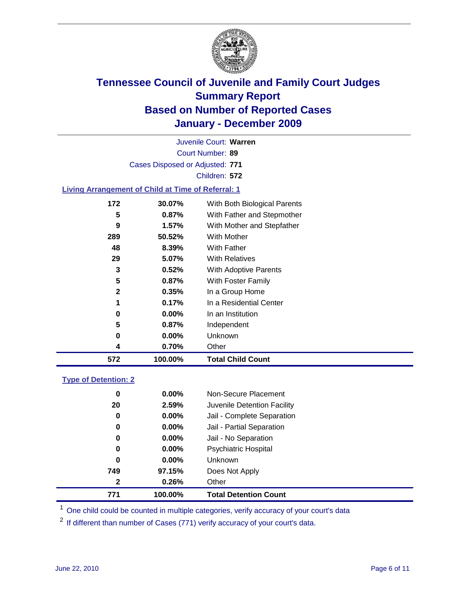

Court Number: **89** Juvenile Court: **Warren** Cases Disposed or Adjusted: **771** Children: **572**

### **Living Arrangement of Child at Time of Referral: 1**

| 572 | 100.00%    | <b>Total Child Count</b>     |
|-----|------------|------------------------------|
|     | 0.70%<br>4 | Other                        |
|     | 0.00%<br>0 | Unknown                      |
|     | 5<br>0.87% | Independent                  |
|     | 0.00%<br>0 | In an Institution            |
|     | 1<br>0.17% | In a Residential Center      |
|     | 2<br>0.35% | In a Group Home              |
|     | 5<br>0.87% | With Foster Family           |
|     | 3<br>0.52% | With Adoptive Parents        |
| 29  | 5.07%      | <b>With Relatives</b>        |
| 48  | 8.39%      | <b>With Father</b>           |
| 289 | 50.52%     | With Mother                  |
|     | 9<br>1.57% | With Mother and Stepfather   |
|     | 5<br>0.87% | With Father and Stepmother   |
| 172 | 30.07%     | With Both Biological Parents |
|     |            |                              |

#### **Type of Detention: 2**

| 771          | 100.00%  | <b>Total Detention Count</b> |
|--------------|----------|------------------------------|
| $\mathbf{2}$ | 0.26%    | Other                        |
| 749          | 97.15%   | Does Not Apply               |
| 0            | $0.00\%$ | <b>Unknown</b>               |
| 0            | 0.00%    | Psychiatric Hospital         |
| 0            | 0.00%    | Jail - No Separation         |
| 0            | $0.00\%$ | Jail - Partial Separation    |
| 0            | 0.00%    | Jail - Complete Separation   |
| 20           | 2.59%    | Juvenile Detention Facility  |
| 0            | $0.00\%$ | Non-Secure Placement         |
|              |          |                              |

<sup>1</sup> One child could be counted in multiple categories, verify accuracy of your court's data

<sup>2</sup> If different than number of Cases (771) verify accuracy of your court's data.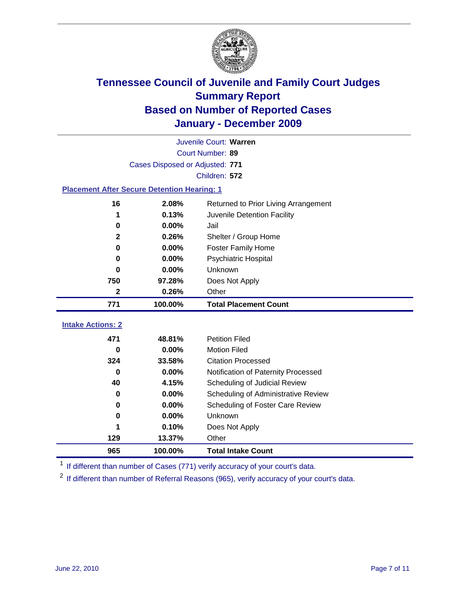

|                                                    | Juvenile Court: Warren          |                                      |  |  |  |
|----------------------------------------------------|---------------------------------|--------------------------------------|--|--|--|
|                                                    | Court Number: 89                |                                      |  |  |  |
|                                                    | Cases Disposed or Adjusted: 771 |                                      |  |  |  |
|                                                    |                                 | Children: 572                        |  |  |  |
| <b>Placement After Secure Detention Hearing: 1</b> |                                 |                                      |  |  |  |
| 16                                                 | 2.08%                           | Returned to Prior Living Arrangement |  |  |  |
| 1                                                  | 0.13%                           | Juvenile Detention Facility          |  |  |  |
| 0                                                  | 0.00%                           | Jail                                 |  |  |  |
| $\mathbf{2}$                                       | 0.26%                           | Shelter / Group Home                 |  |  |  |
| 0                                                  | 0.00%                           | <b>Foster Family Home</b>            |  |  |  |
| 0                                                  | 0.00%                           | Psychiatric Hospital                 |  |  |  |
| $\bf{0}$                                           | 0.00%                           | Unknown                              |  |  |  |
| 750                                                | 97.28%                          | Does Not Apply                       |  |  |  |
| 2                                                  | 0.26%                           | Other                                |  |  |  |
| 771                                                | 100.00%                         | <b>Total Placement Count</b>         |  |  |  |
| <b>Intake Actions: 2</b>                           |                                 |                                      |  |  |  |
| 471                                                | 48.81%                          | <b>Petition Filed</b>                |  |  |  |
| 0                                                  | 0.00%                           | <b>Motion Filed</b>                  |  |  |  |
| 324                                                | 33.58%                          | <b>Citation Processed</b>            |  |  |  |
| 0                                                  | 0.00%                           | Notification of Paternity Processed  |  |  |  |
| 40                                                 | 4.15%                           | Scheduling of Judicial Review        |  |  |  |
| 0                                                  | 0.00%                           | Scheduling of Administrative Review  |  |  |  |
| 0                                                  | 0.00%                           | Scheduling of Foster Care Review     |  |  |  |
| 0                                                  | 0.00%                           | Unknown                              |  |  |  |
|                                                    | 0.10%                           | Does Not Apply                       |  |  |  |
| 129                                                | 13.37%                          | Other                                |  |  |  |
|                                                    |                                 |                                      |  |  |  |

<sup>1</sup> If different than number of Cases (771) verify accuracy of your court's data.

<sup>2</sup> If different than number of Referral Reasons (965), verify accuracy of your court's data.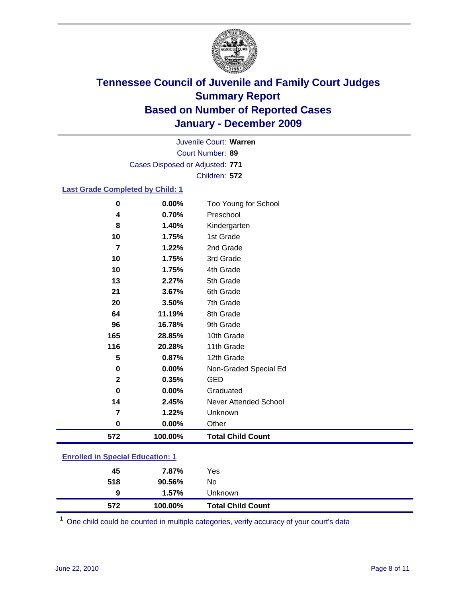

Court Number: **89** Juvenile Court: **Warren** Cases Disposed or Adjusted: **771** Children: **572**

### **Last Grade Completed by Child: 1**

| $\bf{0}$                                | 0.00%   | Too Young for School         |  |
|-----------------------------------------|---------|------------------------------|--|
| 4                                       | 0.70%   | Preschool                    |  |
| 8                                       | 1.40%   | Kindergarten                 |  |
| 10                                      | 1.75%   | 1st Grade                    |  |
| $\overline{7}$                          | 1.22%   | 2nd Grade                    |  |
| 10                                      | 1.75%   | 3rd Grade                    |  |
| 10                                      | 1.75%   | 4th Grade                    |  |
| 13                                      | 2.27%   | 5th Grade                    |  |
| 21                                      | 3.67%   | 6th Grade                    |  |
| 20                                      | 3.50%   | 7th Grade                    |  |
| 64                                      | 11.19%  | 8th Grade                    |  |
| 96                                      | 16.78%  | 9th Grade                    |  |
| 165                                     | 28.85%  | 10th Grade                   |  |
| 116                                     | 20.28%  | 11th Grade                   |  |
| 5                                       | 0.87%   | 12th Grade                   |  |
| 0                                       | 0.00%   | Non-Graded Special Ed        |  |
| $\mathbf{2}$                            | 0.35%   | <b>GED</b>                   |  |
| $\bf{0}$                                | 0.00%   | Graduated                    |  |
| 14                                      | 2.45%   | <b>Never Attended School</b> |  |
| $\overline{7}$                          | 1.22%   | Unknown                      |  |
| $\pmb{0}$                               | 0.00%   | Other                        |  |
| 572                                     | 100.00% | <b>Total Child Count</b>     |  |
| <b>Enrolled in Special Education: 1</b> |         |                              |  |

| 572  | 100.00% | <b>Total Child Count</b> |  |
|------|---------|--------------------------|--|
| 9    | 1.57%   | <b>Unknown</b>           |  |
| 518  | 90.56%  | No                       |  |
| 45   | 7.87%   | Yes                      |  |
| FIII |         |                          |  |

One child could be counted in multiple categories, verify accuracy of your court's data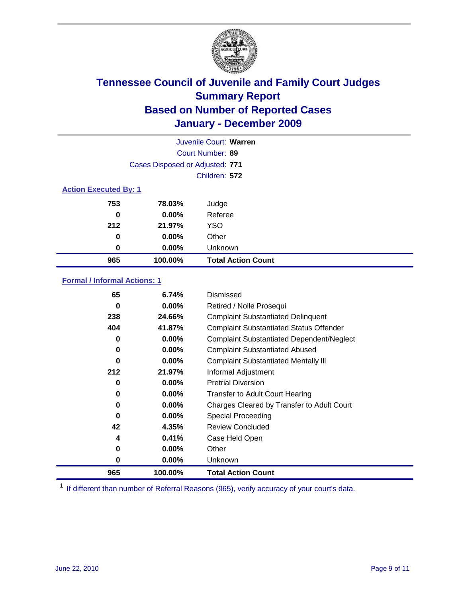

|                              | Juvenile Court: Warren          |                           |  |  |
|------------------------------|---------------------------------|---------------------------|--|--|
|                              | Court Number: 89                |                           |  |  |
|                              | Cases Disposed or Adjusted: 771 |                           |  |  |
|                              | Children: 572                   |                           |  |  |
| <b>Action Executed By: 1</b> |                                 |                           |  |  |
| 753                          | 78.03%                          | Judge                     |  |  |
| 0                            | $0.00\%$                        | Referee                   |  |  |
| 212                          | 21.97%                          | <b>YSO</b>                |  |  |
| 0                            | $0.00\%$                        | Other                     |  |  |
| 0                            | $0.00\%$                        | Unknown                   |  |  |
| 965                          | 100.00%                         | <b>Total Action Count</b> |  |  |

### **Formal / Informal Actions: 1**

| 65       | 6.74%    | Dismissed                                        |
|----------|----------|--------------------------------------------------|
| 0        | $0.00\%$ | Retired / Nolle Prosequi                         |
| 238      | 24.66%   | <b>Complaint Substantiated Delinquent</b>        |
| 404      | 41.87%   | <b>Complaint Substantiated Status Offender</b>   |
| 0        | $0.00\%$ | <b>Complaint Substantiated Dependent/Neglect</b> |
| 0        | 0.00%    | <b>Complaint Substantiated Abused</b>            |
| $\bf{0}$ | $0.00\%$ | <b>Complaint Substantiated Mentally III</b>      |
| 212      | 21.97%   | Informal Adjustment                              |
| 0        | $0.00\%$ | <b>Pretrial Diversion</b>                        |
| 0        | $0.00\%$ | <b>Transfer to Adult Court Hearing</b>           |
| 0        | $0.00\%$ | Charges Cleared by Transfer to Adult Court       |
| $\bf{0}$ | $0.00\%$ | Special Proceeding                               |
| 42       | 4.35%    | Review Concluded                                 |
| 4        | 0.41%    | Case Held Open                                   |
| 0        | $0.00\%$ | Other                                            |
| 0        | $0.00\%$ | <b>Unknown</b>                                   |
| 965      | 100.00%  | <b>Total Action Count</b>                        |

<sup>1</sup> If different than number of Referral Reasons (965), verify accuracy of your court's data.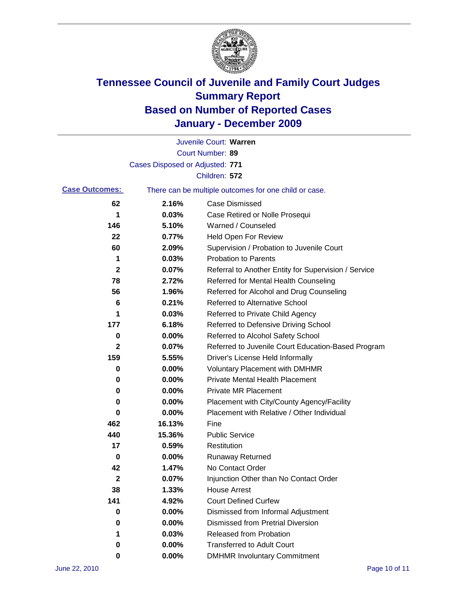

|                       |                                 | Juvenile Court: Warren                                |
|-----------------------|---------------------------------|-------------------------------------------------------|
|                       |                                 | Court Number: 89                                      |
|                       | Cases Disposed or Adjusted: 771 |                                                       |
|                       |                                 | Children: 572                                         |
| <b>Case Outcomes:</b> |                                 | There can be multiple outcomes for one child or case. |
| 62                    | 2.16%                           | <b>Case Dismissed</b>                                 |
| 1                     | 0.03%                           | Case Retired or Nolle Prosequi                        |
| 146                   | 5.10%                           | Warned / Counseled                                    |
| 22                    | 0.77%                           | Held Open For Review                                  |
| 60                    | 2.09%                           | Supervision / Probation to Juvenile Court             |
| 1                     | 0.03%                           | <b>Probation to Parents</b>                           |
| $\mathbf{2}$          | 0.07%                           | Referral to Another Entity for Supervision / Service  |
| 78                    | 2.72%                           | Referred for Mental Health Counseling                 |
| 56                    | 1.96%                           | Referred for Alcohol and Drug Counseling              |
| 6                     | 0.21%                           | <b>Referred to Alternative School</b>                 |
| 1                     | 0.03%                           | Referred to Private Child Agency                      |
| 177                   | 6.18%                           | Referred to Defensive Driving School                  |
| 0                     | 0.00%                           | Referred to Alcohol Safety School                     |
| $\mathbf{2}$          | 0.07%                           | Referred to Juvenile Court Education-Based Program    |
| 159                   | 5.55%                           | Driver's License Held Informally                      |
| 0                     | 0.00%                           | <b>Voluntary Placement with DMHMR</b>                 |
| 0                     | 0.00%                           | <b>Private Mental Health Placement</b>                |
| 0                     | 0.00%                           | <b>Private MR Placement</b>                           |
| 0                     | 0.00%                           | Placement with City/County Agency/Facility            |
| 0                     | 0.00%                           | Placement with Relative / Other Individual            |
| 462                   | 16.13%                          | Fine                                                  |
| 440                   | 15.36%                          | <b>Public Service</b>                                 |
| 17                    | 0.59%                           | Restitution                                           |
| 0                     | 0.00%                           | <b>Runaway Returned</b>                               |
| 42                    | 1.47%                           | No Contact Order                                      |
| 2                     | 0.07%                           | Injunction Other than No Contact Order                |
| 38                    | 1.33%                           | <b>House Arrest</b>                                   |
| 141                   | 4.92%                           | <b>Court Defined Curfew</b>                           |
| 0                     | 0.00%                           | Dismissed from Informal Adjustment                    |
| 0                     | 0.00%                           | <b>Dismissed from Pretrial Diversion</b>              |
| 1                     | 0.03%                           | Released from Probation                               |
| 0                     | 0.00%                           | <b>Transferred to Adult Court</b>                     |
| 0                     | 0.00%                           | <b>DMHMR Involuntary Commitment</b>                   |